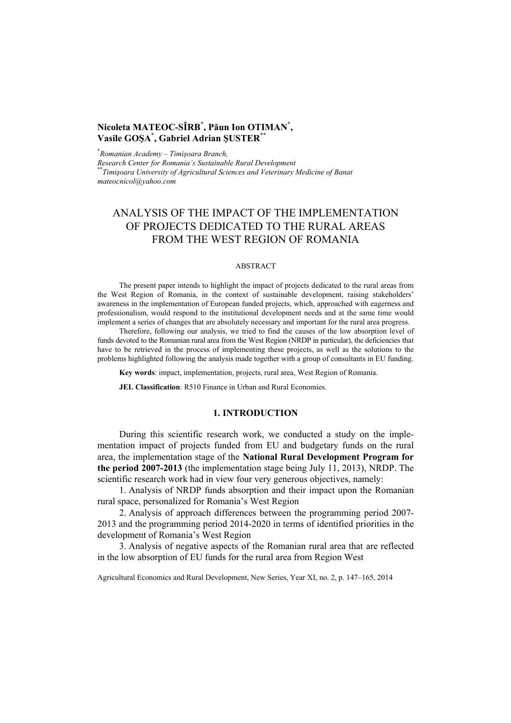# **Nicoleta MATEOC-SÎRB**\* **, Păun Ion OTIMAN**\* **, Vasile GOŞA**\* **, Gabriel Adrian ŞUSTER**\*\*

\* *Romanian Academy – Timişoara Branch,* 

*Research Center for Romania's Sustainable Rural Development* \*\**Timişoara University of Agricultural Sciences and Veterinary Medicine of Banat mateocnicol@yahoo.com* 

# ANALYSIS OF THE IMPACT OF THE IMPLEMENTATION OF PROJECTS DEDICATED TO THE RURAL AREAS FROM THE WEST REGION OF ROMANIA

#### ABSTRACT

The present paper intends to highlight the impact of projects dedicated to the rural areas from the West Region of Romania, in the context of sustainable development, raising stakeholders' awareness in the implementation of European funded projects, which, approached with eagerness and professionalism, would respond to the institutional development needs and at the same time would implement a series of changes that are absolutely necessary and important for the rural area progress.

Therefore, following our analysis, we tried to find the causes of the low absorption level of funds devoted to the Romanian rural area from the West Region (NRDP in particular), the deficiencies that have to be retrieved in the process of implementing these projects, as well as the solutions to the problems highlighted following the analysis made together with a group of consultants in EU funding.

**Key words**: impact, implementation, projects, rural area, West Region of Romania.

**JEL Classification**: R510 Finance in Urban and Rural Economies.

### **1. INTRODUCTION**

During this scientific research work, we conducted a study on the implementation impact of projects funded from EU and budgetary funds on the rural area, the implementation stage of the **National Rural Development Program for the period 2007-2013** (the implementation stage being July 11, 2013), NRDP. The scientific research work had in view four very generous objectives, namely:

1. Analysis of NRDP funds absorption and their impact upon the Romanian rural space, personalized for Romania's West Region

2. Analysis of approach differences between the programming period 2007- 2013 and the programming period 2014-2020 in terms of identified priorities in the development of Romania's West Region

3. Analysis of negative aspects of the Romanian rural area that are reflected in the low absorption of EU funds for the rural area from Region West

Agricultural Economics and Rural Development, New Series, Year XI, no. 2, p. 147–165, 2014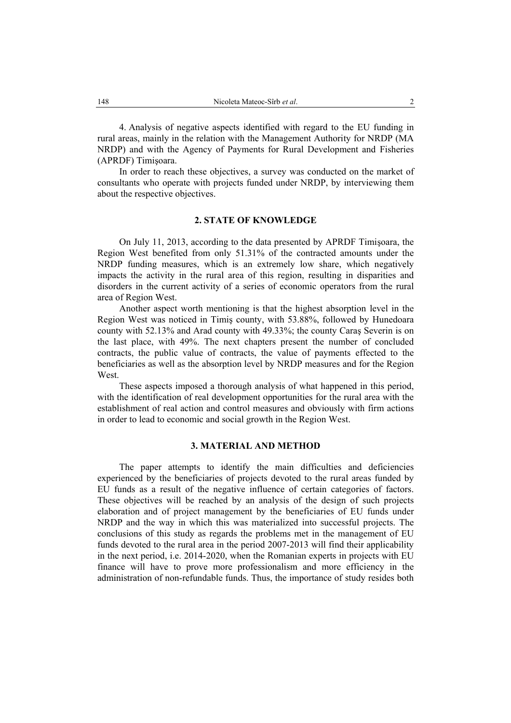4. Analysis of negative aspects identified with regard to the EU funding in rural areas, mainly in the relation with the Management Authority for NRDP (MA NRDP) and with the Agency of Payments for Rural Development and Fisheries (APRDF) Timişoara.

In order to reach these objectives, a survey was conducted on the market of consultants who operate with projects funded under NRDP, by interviewing them about the respective objectives.

# **2. STATE OF KNOWLEDGE**

On July 11, 2013, according to the data presented by APRDF Timişoara, the Region West benefited from only 51.31% of the contracted amounts under the NRDP funding measures, which is an extremely low share, which negatively impacts the activity in the rural area of this region, resulting in disparities and disorders in the current activity of a series of economic operators from the rural area of Region West.

Another aspect worth mentioning is that the highest absorption level in the Region West was noticed in Timiş county, with 53.88%, followed by Hunedoara county with 52.13% and Arad county with 49.33%; the county Caraş Severin is on the last place, with 49%. The next chapters present the number of concluded contracts, the public value of contracts, the value of payments effected to the beneficiaries as well as the absorption level by NRDP measures and for the Region West.

These aspects imposed a thorough analysis of what happened in this period, with the identification of real development opportunities for the rural area with the establishment of real action and control measures and obviously with firm actions in order to lead to economic and social growth in the Region West.

#### **3. MATERIAL AND METHOD**

The paper attempts to identify the main difficulties and deficiencies experienced by the beneficiaries of projects devoted to the rural areas funded by EU funds as a result of the negative influence of certain categories of factors. These objectives will be reached by an analysis of the design of such projects elaboration and of project management by the beneficiaries of EU funds under NRDP and the way in which this was materialized into successful projects. The conclusions of this study as regards the problems met in the management of EU funds devoted to the rural area in the period 2007-2013 will find their applicability in the next period, i.e. 2014-2020, when the Romanian experts in projects with EU finance will have to prove more professionalism and more efficiency in the administration of non-refundable funds. Thus, the importance of study resides both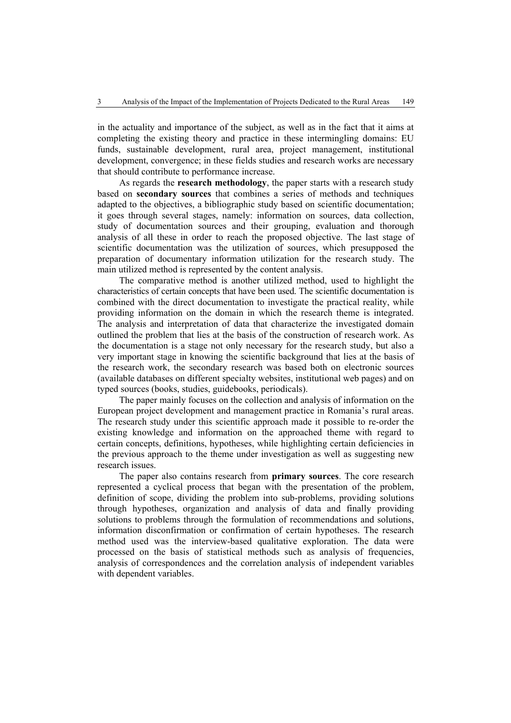in the actuality and importance of the subject, as well as in the fact that it aims at completing the existing theory and practice in these intermingling domains: EU funds, sustainable development, rural area, project management, institutional development, convergence; in these fields studies and research works are necessary that should contribute to performance increase.

As regards the **research methodology**, the paper starts with a research study based on **secondary sources** that combines a series of methods and techniques adapted to the objectives, a bibliographic study based on scientific documentation; it goes through several stages, namely: information on sources, data collection, study of documentation sources and their grouping, evaluation and thorough analysis of all these in order to reach the proposed objective. The last stage of scientific documentation was the utilization of sources, which presupposed the preparation of documentary information utilization for the research study. The main utilized method is represented by the content analysis.

The comparative method is another utilized method, used to highlight the characteristics of certain concepts that have been used. The scientific documentation is combined with the direct documentation to investigate the practical reality, while providing information on the domain in which the research theme is integrated. The analysis and interpretation of data that characterize the investigated domain outlined the problem that lies at the basis of the construction of research work. As the documentation is a stage not only necessary for the research study, but also a very important stage in knowing the scientific background that lies at the basis of the research work, the secondary research was based both on electronic sources (available databases on different specialty websites, institutional web pages) and on typed sources (books, studies, guidebooks, periodicals).

The paper mainly focuses on the collection and analysis of information on the European project development and management practice in Romania's rural areas. The research study under this scientific approach made it possible to re-order the existing knowledge and information on the approached theme with regard to certain concepts, definitions, hypotheses, while highlighting certain deficiencies in the previous approach to the theme under investigation as well as suggesting new research issues.

The paper also contains research from **primary sources**. The core research represented a cyclical process that began with the presentation of the problem, definition of scope, dividing the problem into sub-problems, providing solutions through hypotheses, organization and analysis of data and finally providing solutions to problems through the formulation of recommendations and solutions, information disconfirmation or confirmation of certain hypotheses. The research method used was the interview-based qualitative exploration. The data were processed on the basis of statistical methods such as analysis of frequencies, analysis of correspondences and the correlation analysis of independent variables with dependent variables.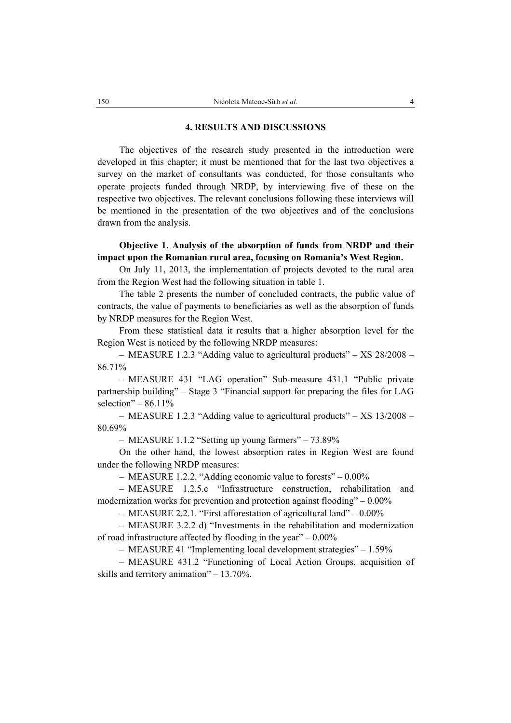#### **4. RESULTS AND DISCUSSIONS**

The objectives of the research study presented in the introduction were developed in this chapter; it must be mentioned that for the last two objectives a survey on the market of consultants was conducted, for those consultants who operate projects funded through NRDP, by interviewing five of these on the respective two objectives. The relevant conclusions following these interviews will be mentioned in the presentation of the two objectives and of the conclusions drawn from the analysis.

# **Objective 1. Analysis of the absorption of funds from NRDP and their impact upon the Romanian rural area, focusing on Romania's West Region.**

On July 11, 2013, the implementation of projects devoted to the rural area from the Region West had the following situation in table 1.

The table 2 presents the number of concluded contracts, the public value of contracts, the value of payments to beneficiaries as well as the absorption of funds by NRDP measures for the Region West.

From these statistical data it results that a higher absorption level for the Region West is noticed by the following NRDP measures:

– MEASURE 1.2.3 "Adding value to agricultural products" – XS 28/2008 – 86.71%

– MEASURE 431 "LAG operation" Sub-measure 431.1 "Public private partnership building" – Stage 3 "Financial support for preparing the files for LAG selection" –  $86.11\%$ 

– MEASURE 1.2.3 "Adding value to agricultural products" – XS 13/2008 – 80.69%

– MEASURE 1.1.2 "Setting up young farmers" – 73.89%

On the other hand, the lowest absorption rates in Region West are found under the following NRDP measures:

– MEASURE 1.2.2. "Adding economic value to forests" – 0.00%

– MEASURE 1.2.5.c "Infrastructure construction, rehabilitation and modernization works for prevention and protection against flooding" – 0.00%

– MEASURE 2.2.1. "First afforestation of agricultural land" – 0.00%

– MEASURE 3.2.2 d) "Investments in the rehabilitation and modernization of road infrastructure affected by flooding in the year"  $-0.00\%$ 

– MEASURE 41 "Implementing local development strategies" – 1.59%

– MEASURE 431.2 "Functioning of Local Action Groups, acquisition of skills and territory animation" – 13.70%.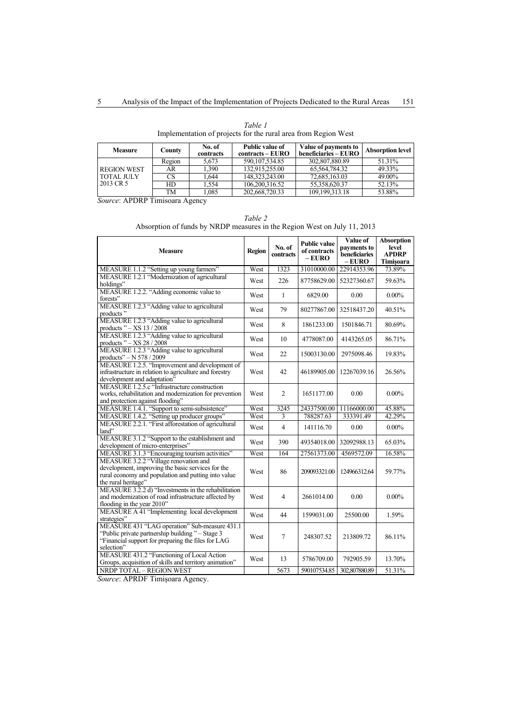*Table 1*  Implementation of projects for the rural area from Region West

| <b>Measure</b>                                       | County | No. of<br>contracts | <b>Public value of</b><br>contracts – EURO | Value of payments to<br>beneficiaries - EURO | Absorption level |
|------------------------------------------------------|--------|---------------------|--------------------------------------------|----------------------------------------------|------------------|
| <b>REGION WEST</b><br><b>TOTAL JULY</b><br>2013 CR 5 | Region | 5.673               | 590.107.534.85                             | 302.807.880.89                               | 51.31%           |
|                                                      | AR     | 1.390               | 132.915.255.00                             | 65.564.784.32                                | 49.33%           |
|                                                      | CS     | .644                | 148.323.243.00                             | 72.685.163.03                                | 49.00%           |
|                                                      | HD     | 1.554               | 106.200.316.52                             | 55.358.620.37                                | 52.13%           |
|                                                      | TM     | 1.085               | 202,668,720.33                             | 109.199.313.18                               | 53.88%           |

*Source*: APDRP Timisoara Agency

*Table 2*  Absorption of funds by NRDP measures in the Region West on July 11, 2013

| <b>Measure</b>                                                                                                                                                           | <b>Region</b> | No. of<br><b>contracts</b> | <b>Public value</b><br>of contracts<br>$-EURO$ | Value of<br>payments to<br>beneficiaries<br>$-EURO$ | <b>Absorption</b><br>level<br><b>APDRP</b><br>Timişoara |
|--------------------------------------------------------------------------------------------------------------------------------------------------------------------------|---------------|----------------------------|------------------------------------------------|-----------------------------------------------------|---------------------------------------------------------|
| MEASURE 1.1.2 "Setting up young farmers"                                                                                                                                 | West          | 1323                       | 31010000.00                                    | 22914353.96                                         | 73.89%                                                  |
| MEASURE 1.2.1 "Modernization of agricultural                                                                                                                             | West          | 226                        | 87758629.00                                    | 52327360.67                                         | 59.63%                                                  |
| holdings"                                                                                                                                                                |               |                            |                                                |                                                     |                                                         |
| MEASURE 1.2.2. "Adding economic value to<br>forests"                                                                                                                     | West          | 1                          | 6829.00                                        | 0.00                                                | $0.00\%$                                                |
| MEASURE 1.2.3 "Adding value to agricultural<br>products"                                                                                                                 | West          | 79                         | 80277867.00                                    | 32518437.20                                         | 40.51%                                                  |
| MEASURE 1.2.3 "Adding value to agricultural<br>products " - XS 13 / 2008                                                                                                 | West          | 8                          | 1861233.00                                     | 1501846.71                                          | 80.69%                                                  |
| MEASURE 1.2.3 "Adding value to agricultural<br>products " $-XS$ 28 / 2008                                                                                                | West          | 10                         | 4778087.00                                     | 4143265.05                                          | 86.71%                                                  |
| MEASURE 1.2.3 "Adding value to agricultural<br>products" - N 578 / 2009                                                                                                  | West          | 22                         | 15003130.00                                    | 2975098.46                                          | 19.83%                                                  |
| MEASURE 1.2.5. "Improvement and development of<br>infrastructure in relation to agriculture and forestry<br>development and adaptation"                                  | West          | 42                         | 46189905.00                                    | 12267039.16                                         | 26.56%                                                  |
| MEASURE 1.2.5.c "Infrastructure construction<br>works, rehabilitation and modernization for prevention<br>and protection against flooding"                               | West          | $\overline{c}$             | 1651177.00                                     | 0.00                                                | $0.00\%$                                                |
| MEASURE 1.4.1. "Support to semi-subsistence"                                                                                                                             | West          | 3245                       | 24337500.00                                    | 11166000.00                                         | 45.88%                                                  |
| MEASURE 1.4.2. "Setting up producer groups"                                                                                                                              | West          | 3                          | 788287.63                                      | 333391.49                                           | 42.29%                                                  |
| MEASURE 2.2.1. "First afforestation of agricultural<br>land"                                                                                                             | West          | 4                          | 141116.70                                      | 0.00                                                | $0.00\%$                                                |
| MEASURE 3.1.2 "Support to the establishment and<br>development of micro-enterprises"                                                                                     | West          | 390                        | 49354018.00                                    | 32092988.13                                         | 65.03%                                                  |
| MEASURE 3.1.3 "Encouraging tourism activities"                                                                                                                           | West          | 164                        | 27561373.00                                    | 4569572.09                                          | 16.58%                                                  |
| MEASURE 3.2.2 "Village renovation and<br>development, improving the basic services for the<br>rural economy and population and putting into value<br>the rural heritage" | West          | 86                         | 209093321.00                                   | 124966312.64                                        | 59.77%                                                  |
| MEASURE 3.2.2 d) "Investments in the rehabilitation<br>and modernization of road infrastructure affected by<br>flooding in the year 2010"                                | West          | 4                          | 2661014.00                                     | 0.00                                                | $0.00\%$                                                |
| MEASURE A 41 "Implementing local development<br>strategies"                                                                                                              | West          | 44                         | 1599031.00                                     | 25500.00                                            | 1.59%                                                   |
| MEASURE 431 "LAG operation" Sub-measure 431.1<br>"Public private partnership building" - Stage 3<br>"Financial support for preparing the files for LAG<br>selection"     | West          | 7                          | 248307.52                                      | 213809.72                                           | 86.11%                                                  |
| MEASURE 431.2 "Functioning of Local Action<br>Groups, acquisition of skills and territory animation"                                                                     | West          | 13                         | 5786709.00                                     | 792905.59                                           | 13.70%                                                  |
| NRDP TOTAL - REGION WEST                                                                                                                                                 |               | 5673                       | 590107534.85                                   | 302.807880.89                                       | 51.31%                                                  |

*Source*: APRDF Timişoara Agency.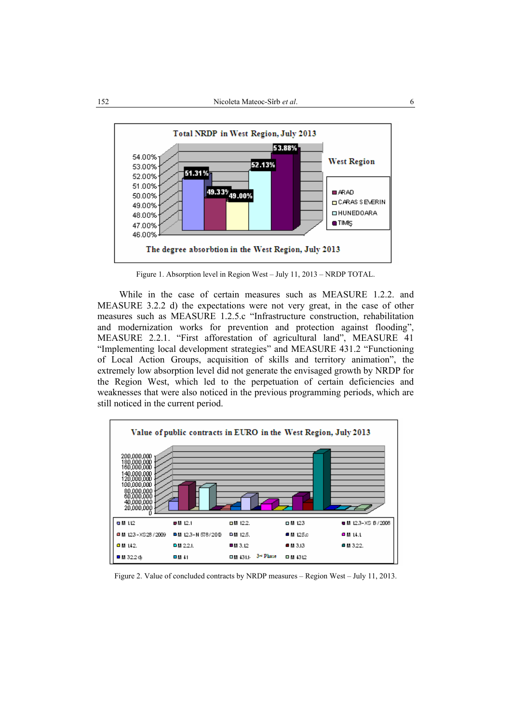

Figure 1. Absorption level in Region West – July 11, 2013 – NRDP TOTAL.

While in the case of certain measures such as MEASURE 1.2.2. and MEASURE 3.2.2 d) the expectations were not very great, in the case of other measures such as MEASURE 1.2.5.c "Infrastructure construction, rehabilitation and modernization works for prevention and protection against flooding", MEASURE 2.2.1. "First afforestation of agricultural land", MEASURE 41 "Implementing local development strategies" and MEASURE 431.2 "Functioning of Local Action Groups, acquisition of skills and territory animation", the extremely low absorption level did not generate the envisaged growth by NRDP for the Region West, which led to the perpetuation of certain deficiencies and weaknesses that were also noticed in the previous programming periods, which are still noticed in the current period.



Figure 2. Value of concluded contracts by NRDP measures – Region West – July 11, 2013.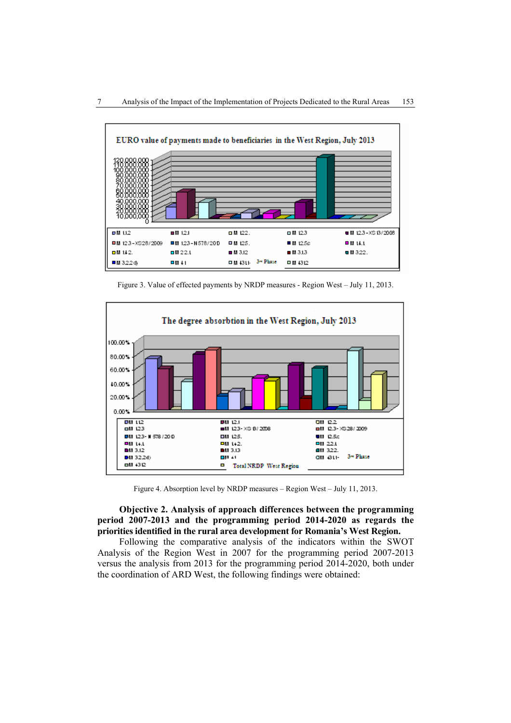

Figure 3. Value of effected payments by NRDP measures - Region West – July 11, 2013.



Figure 4. Absorption level by NRDP measures – Region West – July 11, 2013.

# **Objective 2. Analysis of approach differences between the programming period 2007-2013 and the programming period 2014-2020 as regards the priorities identified in the rural area development for Romania's West Region.**

Following the comparative analysis of the indicators within the SWOT Analysis of the Region West in 2007 for the programming period 2007-2013 versus the analysis from 2013 for the programming period 2014-2020, both under the coordination of ARD West, the following findings were obtained: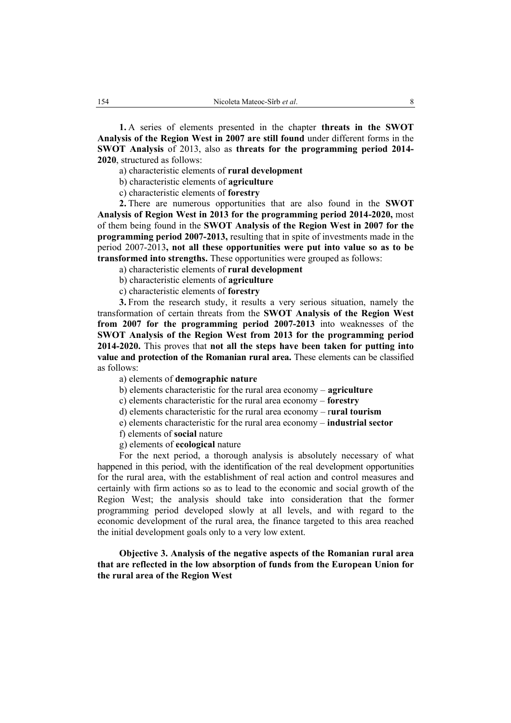**1.** A series of elements presented in the chapter **threats in the SWOT Analysis of the Region West in 2007 are still found** under different forms in the **SWOT Analysis** of 2013, also as **threats for the programming period 2014- 2020**, structured as follows:

a) characteristic elements of **rural development**

b) characteristic elements of **agriculture**

c) characteristic elements of **forestry**

**2.** There are numerous opportunities that are also found in the **SWOT Analysis of Region West in 2013 for the programming period 2014-2020,** most of them being found in the **SWOT Analysis of the Region West in 2007 for the programming period 2007-2013,** resulting that in spite of investments made in the period 2007-2013**, not all these opportunities were put into value so as to be transformed into strengths.** These opportunities were grouped as follows:

a) characteristic elements of **rural development** 

b) characteristic elements of **agriculture**

c) characteristic elements of **forestry**

**3.** From the research study, it results a very serious situation, namely the transformation of certain threats from the **SWOT Analysis of the Region West from 2007 for the programming period 2007-2013** into weaknesses of the **SWOT Analysis of the Region West from 2013 for the programming period 2014-2020.** This proves that **not all the steps have been taken for putting into value and protection of the Romanian rural area.** These elements can be classified as follows:

a) elements of **demographic nature**

b) elements characteristic for the rural area economy – **agriculture**

c) elements characteristic for the rural area economy – **forestry**

d) elements characteristic for the rural area economy – r**ural tourism**

e) elements characteristic for the rural area economy – **industrial sector**

f) elements of **social** nature

g) elements of **ecological** nature

For the next period, a thorough analysis is absolutely necessary of what happened in this period, with the identification of the real development opportunities for the rural area, with the establishment of real action and control measures and certainly with firm actions so as to lead to the economic and social growth of the Region West; the analysis should take into consideration that the former programming period developed slowly at all levels, and with regard to the economic development of the rural area, the finance targeted to this area reached the initial development goals only to a very low extent.

**Objective 3. Analysis of the negative aspects of the Romanian rural area that are reflected in the low absorption of funds from the European Union for the rural area of the Region West**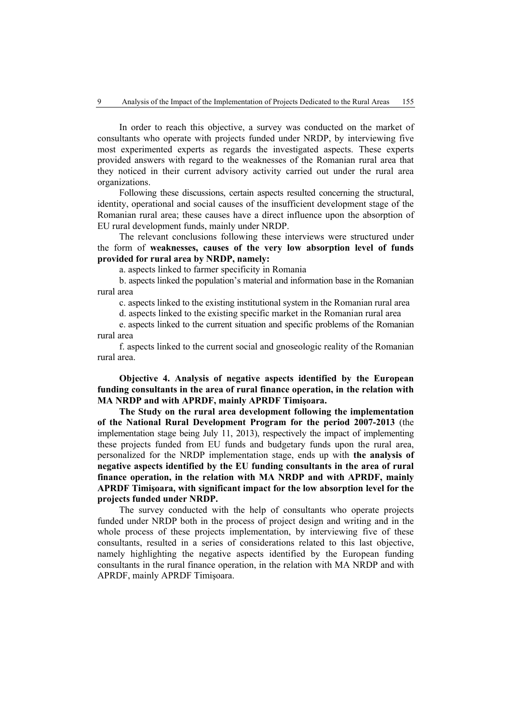In order to reach this objective, a survey was conducted on the market of consultants who operate with projects funded under NRDP, by interviewing five most experimented experts as regards the investigated aspects. These experts provided answers with regard to the weaknesses of the Romanian rural area that they noticed in their current advisory activity carried out under the rural area organizations.

Following these discussions, certain aspects resulted concerning the structural, identity, operational and social causes of the insufficient development stage of the Romanian rural area; these causes have a direct influence upon the absorption of EU rural development funds, mainly under NRDP.

The relevant conclusions following these interviews were structured under the form of **weaknesses, causes of the very low absorption level of funds provided for rural area by NRDP, namely:** 

a. aspects linked to farmer specificity in Romania

b. aspects linked the population's material and information base in the Romanian rural area

c. aspects linked to the existing institutional system in the Romanian rural area

d. aspects linked to the existing specific market in the Romanian rural area

e. aspects linked to the current situation and specific problems of the Romanian rural area

f. aspects linked to the current social and gnoseologic reality of the Romanian rural area.

**Objective 4. Analysis of negative aspects identified by the European funding consultants in the area of rural finance operation, in the relation with MA NRDP and with APRDF, mainly APRDF Timişoara.** 

**The Study on the rural area development following the implementation of the National Rural Development Program for the period 2007-2013** (the implementation stage being July 11, 2013), respectively the impact of implementing these projects funded from EU funds and budgetary funds upon the rural area, personalized for the NRDP implementation stage, ends up with **the analysis of negative aspects identified by the EU funding consultants in the area of rural finance operation, in the relation with MA NRDP and with APRDF, mainly APRDF Timişoara, with significant impact for the low absorption level for the projects funded under NRDP.** 

The survey conducted with the help of consultants who operate projects funded under NRDP both in the process of project design and writing and in the whole process of these projects implementation, by interviewing five of these consultants, resulted in a series of considerations related to this last objective, namely highlighting the negative aspects identified by the European funding consultants in the rural finance operation, in the relation with MA NRDP and with APRDF, mainly APRDF Timişoara.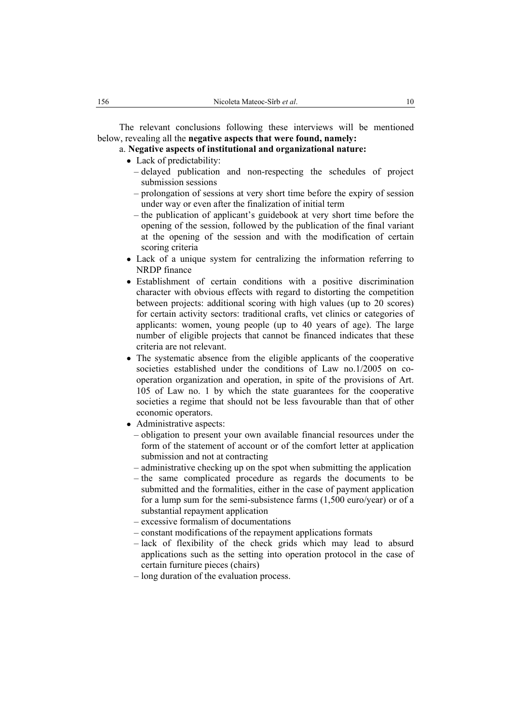The relevant conclusions following these interviews will be mentioned below, revealing all the **negative aspects that were found, namely:** 

# a. **Negative aspects of institutional and organizational nature:**

- Lack of predictability:
	- delayed publication and non-respecting the schedules of project submission sessions
	- prolongation of sessions at very short time before the expiry of session under way or even after the finalization of initial term
	- the publication of applicant's guidebook at very short time before the opening of the session, followed by the publication of the final variant at the opening of the session and with the modification of certain scoring criteria
- Lack of a unique system for centralizing the information referring to NRDP finance
- Establishment of certain conditions with a positive discrimination character with obvious effects with regard to distorting the competition between projects: additional scoring with high values (up to 20 scores) for certain activity sectors: traditional crafts, vet clinics or categories of applicants: women, young people (up to 40 years of age). The large number of eligible projects that cannot be financed indicates that these criteria are not relevant.
- The systematic absence from the eligible applicants of the cooperative societies established under the conditions of Law no.1/2005 on cooperation organization and operation, in spite of the provisions of Art. 105 of Law no. 1 by which the state guarantees for the cooperative societies a regime that should not be less favourable than that of other economic operators.
- Administrative aspects:
	- obligation to present your own available financial resources under the form of the statement of account or of the comfort letter at application submission and not at contracting
	- administrative checking up on the spot when submitting the application
	- the same complicated procedure as regards the documents to be submitted and the formalities, either in the case of payment application for a lump sum for the semi-subsistence farms (1,500 euro/year) or of a substantial repayment application
	- excessive formalism of documentations
	- constant modifications of the repayment applications formats
	- lack of flexibility of the check grids which may lead to absurd applications such as the setting into operation protocol in the case of certain furniture pieces (chairs)
	- long duration of the evaluation process.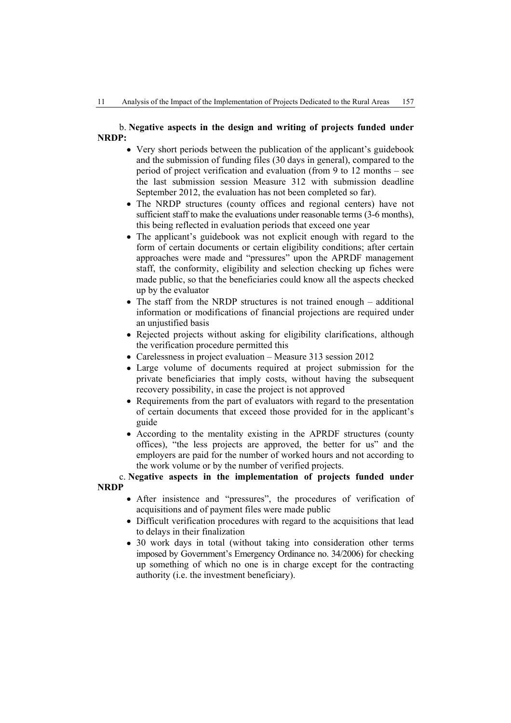# b. **Negative aspects in the design and writing of projects funded under NRDP:**

- Very short periods between the publication of the applicant's guidebook and the submission of funding files (30 days in general), compared to the period of project verification and evaluation (from 9 to 12 months – see the last submission session Measure 312 with submission deadline September 2012, the evaluation has not been completed so far).
- The NRDP structures (county offices and regional centers) have not sufficient staff to make the evaluations under reasonable terms (3-6 months), this being reflected in evaluation periods that exceed one year
- The applicant's guidebook was not explicit enough with regard to the form of certain documents or certain eligibility conditions; after certain approaches were made and "pressures" upon the APRDF management staff, the conformity, eligibility and selection checking up fiches were made public, so that the beneficiaries could know all the aspects checked up by the evaluator
- The staff from the NRDP structures is not trained enough additional information or modifications of financial projections are required under an unjustified basis
- Rejected projects without asking for eligibility clarifications, although the verification procedure permitted this
- Carelessness in project evaluation Measure 313 session 2012
- Large volume of documents required at project submission for the private beneficiaries that imply costs, without having the subsequent recovery possibility, in case the project is not approved
- Requirements from the part of evaluators with regard to the presentation of certain documents that exceed those provided for in the applicant's guide
- According to the mentality existing in the APRDF structures (county offices), "the less projects are approved, the better for us" and the employers are paid for the number of worked hours and not according to the work volume or by the number of verified projects.

c. **Negative aspects in the implementation of projects funded under NRDP** 

- After insistence and "pressures", the procedures of verification of acquisitions and of payment files were made public
- Difficult verification procedures with regard to the acquisitions that lead to delays in their finalization
- 30 work days in total (without taking into consideration other terms imposed by Government's Emergency Ordinance no. 34/2006) for checking up something of which no one is in charge except for the contracting authority (i.e. the investment beneficiary).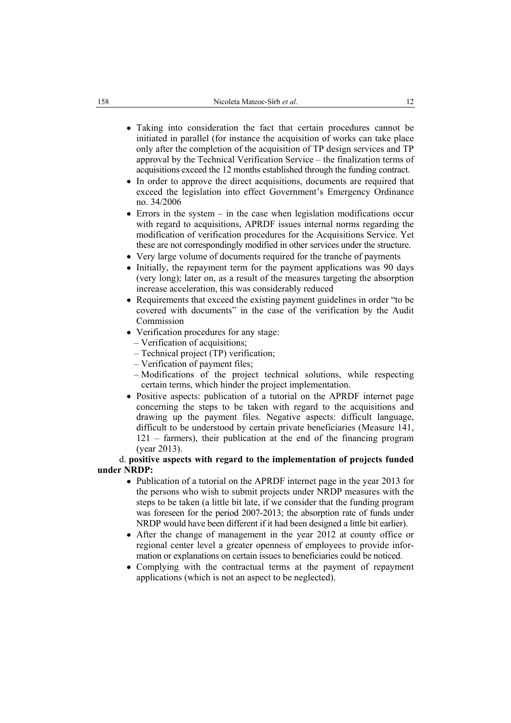- Taking into consideration the fact that certain procedures cannot be initiated in parallel (for instance the acquisition of works can take place only after the completion of the acquisition of TP design services and TP approval by the Technical Verification Service – the finalization terms of acquisitions exceed the 12 months established through the funding contract.
- In order to approve the direct acquisitions, documents are required that exceed the legislation into effect Government's Emergency Ordinance no. 34/2006
- Errors in the system  $-$  in the case when legislation modifications occur with regard to acquisitions, APRDF issues internal norms regarding the modification of verification procedures for the Acquisitions Service. Yet these are not correspondingly modified in other services under the structure.
- Very large volume of documents required for the tranche of payments
- Initially, the repayment term for the payment applications was 90 days (very long); later on, as a result of the measures targeting the absorption increase acceleration, this was considerably reduced
- Requirements that exceed the existing payment guidelines in order "to be covered with documents" in the case of the verification by the Audit Commission
- Verification procedures for any stage:
	- Verification of acquisitions;
	- Technical project (TP) verification;
	- Verification of payment files;
	- Modifications of the project technical solutions, while respecting certain terms, which hinder the project implementation.
- Positive aspects: publication of a tutorial on the APRDF internet page concerning the steps to be taken with regard to the acquisitions and drawing up the payment files. Negative aspects: difficult language, difficult to be understood by certain private beneficiaries (Measure 141, 121 – farmers), their publication at the end of the financing program (year 2013).

### d. **positive aspects with regard to the implementation of projects funded under NRDP:**

- Publication of a tutorial on the APRDF internet page in the year 2013 for the persons who wish to submit projects under NRDP measures with the steps to be taken (a little bit late, if we consider that the funding program was foreseen for the period 2007-2013; the absorption rate of funds under NRDP would have been different if it had been designed a little bit earlier).
- After the change of management in the year 2012 at county office or regional center level a greater openness of employees to provide information or explanations on certain issues to beneficiaries could be noticed.
- Complying with the contractual terms at the payment of repayment applications (which is not an aspect to be neglected).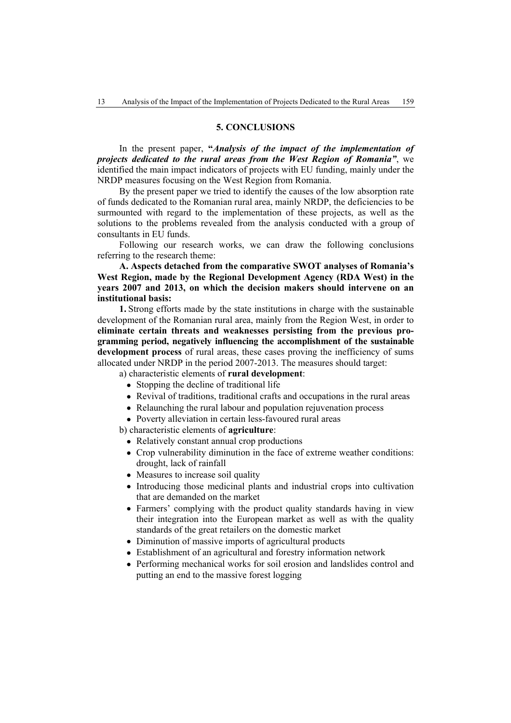### **5. CONCLUSIONS**

In the present paper, **"***Analysis of the impact of the implementation of projects dedicated to the rural areas from the West Region of Romania"*, we identified the main impact indicators of projects with EU funding, mainly under the NRDP measures focusing on the West Region from Romania.

By the present paper we tried to identify the causes of the low absorption rate of funds dedicated to the Romanian rural area, mainly NRDP, the deficiencies to be surmounted with regard to the implementation of these projects, as well as the solutions to the problems revealed from the analysis conducted with a group of consultants in EU funds.

Following our research works, we can draw the following conclusions referring to the research theme:

**A. Aspects detached from the comparative SWOT analyses of Romania's West Region, made by the Regional Development Agency (RDA West) in the years 2007 and 2013, on which the decision makers should intervene on an institutional basis:** 

**1.** Strong efforts made by the state institutions in charge with the sustainable development of the Romanian rural area, mainly from the Region West, in order to **eliminate certain threats and weaknesses persisting from the previous programming period, negatively influencing the accomplishment of the sustainable development process** of rural areas, these cases proving the inefficiency of sums allocated under NRDP in the period 2007-2013. The measures should target:

a) characteristic elements of **rural development**:

- Stopping the decline of traditional life
- Revival of traditions, traditional crafts and occupations in the rural areas
- Relaunching the rural labour and population rejuvenation process
- Poverty alleviation in certain less-favoured rural areas

b) characteristic elements of **agriculture**:

- Relatively constant annual crop productions
- Crop vulnerability diminution in the face of extreme weather conditions: drought, lack of rainfall
- Measures to increase soil quality
- Introducing those medicinal plants and industrial crops into cultivation that are demanded on the market
- Farmers' complying with the product quality standards having in view their integration into the European market as well as with the quality standards of the great retailers on the domestic market
- Diminution of massive imports of agricultural products
- Establishment of an agricultural and forestry information network
- Performing mechanical works for soil erosion and landslides control and putting an end to the massive forest logging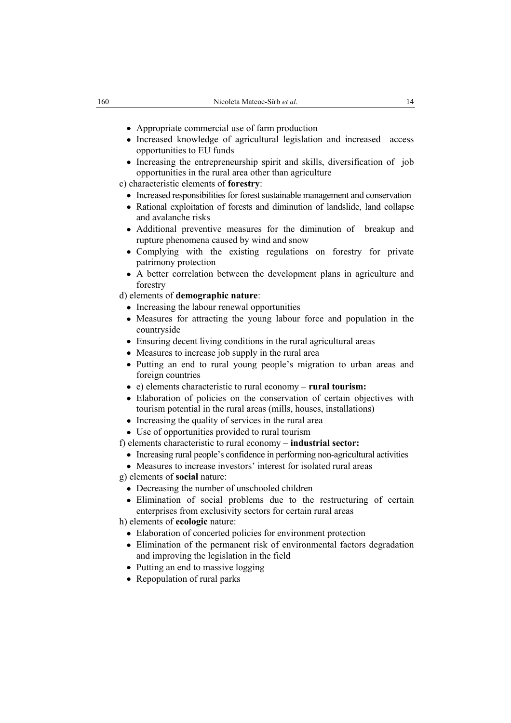- Appropriate commercial use of farm production
- Increased knowledge of agricultural legislation and increased access opportunities to EU funds
- Increasing the entrepreneurship spirit and skills, diversification of job opportunities in the rural area other than agriculture

c) characteristic elements of **forestry**:

- Increased responsibilities for forest sustainable management and conservation
- Rational exploitation of forests and diminution of landslide, land collapse and avalanche risks
- Additional preventive measures for the diminution of breakup and rupture phenomena caused by wind and snow
- Complying with the existing regulations on forestry for private patrimony protection
- A better correlation between the development plans in agriculture and forestry

d) elements of **demographic nature**:

- Increasing the labour renewal opportunities
- Measures for attracting the young labour force and population in the countryside
- Ensuring decent living conditions in the rural agricultural areas
- Measures to increase job supply in the rural area
- Putting an end to rural young people's migration to urban areas and foreign countries
- e) elements characteristic to rural economy **rural tourism:**
- Elaboration of policies on the conservation of certain objectives with tourism potential in the rural areas (mills, houses, installations)
- Increasing the quality of services in the rural area
- Use of opportunities provided to rural tourism
- f) elements characteristic to rural economy **industrial sector:**
	- Increasing rural people's confidence in performing non-agricultural activities
- Measures to increase investors' interest for isolated rural areas

g) elements of **social** nature:

- Decreasing the number of unschooled children
- Elimination of social problems due to the restructuring of certain enterprises from exclusivity sectors for certain rural areas

h) elements of **ecologic** nature:

- Elaboration of concerted policies for environment protection
- Elimination of the permanent risk of environmental factors degradation and improving the legislation in the field
- Putting an end to massive logging
- Repopulation of rural parks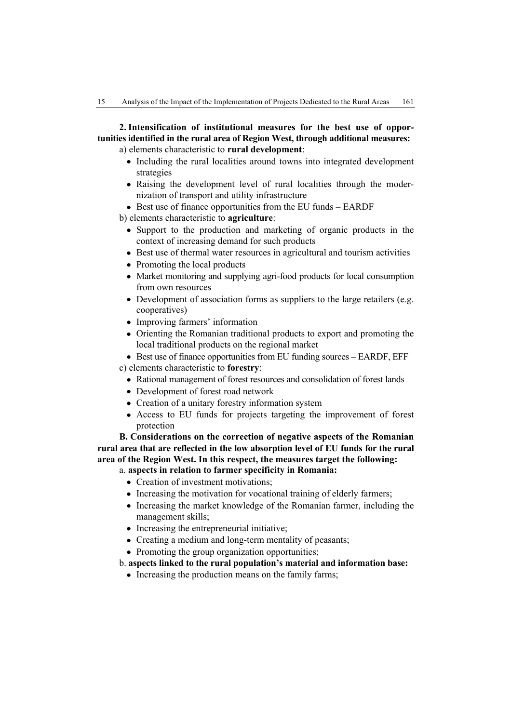**2. Intensification of institutional measures for the best use of opportunities identified in the rural area of Region West, through additional measures:**  a) elements characteristic to **rural development**:

- Including the rural localities around towns into integrated development strategies
- Raising the development level of rural localities through the modernization of transport and utility infrastructure
- Best use of finance opportunities from the EU funds EARDF
- b) elements characteristic to **agriculture**:
	- Support to the production and marketing of organic products in the context of increasing demand for such products
	- Best use of thermal water resources in agricultural and tourism activities
	- Promoting the local products
	- Market monitoring and supplying agri-food products for local consumption from own resources
	- Development of association forms as suppliers to the large retailers (e.g. cooperatives)
	- Improving farmers' information
	- Orienting the Romanian traditional products to export and promoting the local traditional products on the regional market
- Best use of finance opportunities from EU funding sources EARDF, EFF c) elements characteristic to **forestry**:
	- Rational management of forest resources and consolidation of forest lands
	- Development of forest road network
	- Creation of a unitary forestry information system
	- Access to EU funds for projects targeting the improvement of forest protection

**B. Considerations on the correction of negative aspects of the Romanian rural area that are reflected in the low absorption level of EU funds for the rural area of the Region West. In this respect, the measures target the following:** 

- a. **aspects in relation to farmer specificity in Romania:** 
	- Creation of investment motivations:
	- Increasing the motivation for vocational training of elderly farmers;
	- Increasing the market knowledge of the Romanian farmer, including the management skills;
	- Increasing the entrepreneurial initiative;
	- Creating a medium and long-term mentality of peasants;
	- Promoting the group organization opportunities;
- b. **aspects linked to the rural population's material and information base:** 
	- Increasing the production means on the family farms;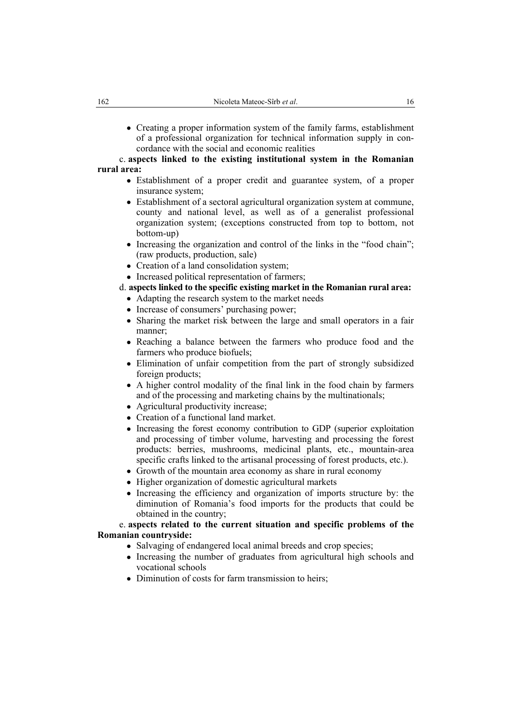• Creating a proper information system of the family farms, establishment of a professional organization for technical information supply in concordance with the social and economic realities

### c. **aspects linked to the existing institutional system in the Romanian rural area:**

- Establishment of a proper credit and guarantee system, of a proper insurance system;
- Establishment of a sectoral agricultural organization system at commune, county and national level, as well as of a generalist professional organization system; (exceptions constructed from top to bottom, not bottom-up)
- Increasing the organization and control of the links in the "food chain"; (raw products, production, sale)
- Creation of a land consolidation system;
- Increased political representation of farmers;

d. **aspects linked to the specific existing market in the Romanian rural area:** 

- Adapting the research system to the market needs
- Increase of consumers' purchasing power;
- Sharing the market risk between the large and small operators in a fair manner;
- Reaching a balance between the farmers who produce food and the farmers who produce biofuels;
- Elimination of unfair competition from the part of strongly subsidized foreign products;
- A higher control modality of the final link in the food chain by farmers and of the processing and marketing chains by the multinationals;
- Agricultural productivity increase;
- Creation of a functional land market.
- Increasing the forest economy contribution to GDP (superior exploitation and processing of timber volume, harvesting and processing the forest products: berries, mushrooms, medicinal plants, etc., mountain-area specific crafts linked to the artisanal processing of forest products, etc.).
- Growth of the mountain area economy as share in rural economy
- Higher organization of domestic agricultural markets
- Increasing the efficiency and organization of imports structure by: the diminution of Romania's food imports for the products that could be obtained in the country;

# e. **aspects related to the current situation and specific problems of the Romanian countryside:**

- Salvaging of endangered local animal breeds and crop species;
- Increasing the number of graduates from agricultural high schools and vocational schools
- Diminution of costs for farm transmission to heirs;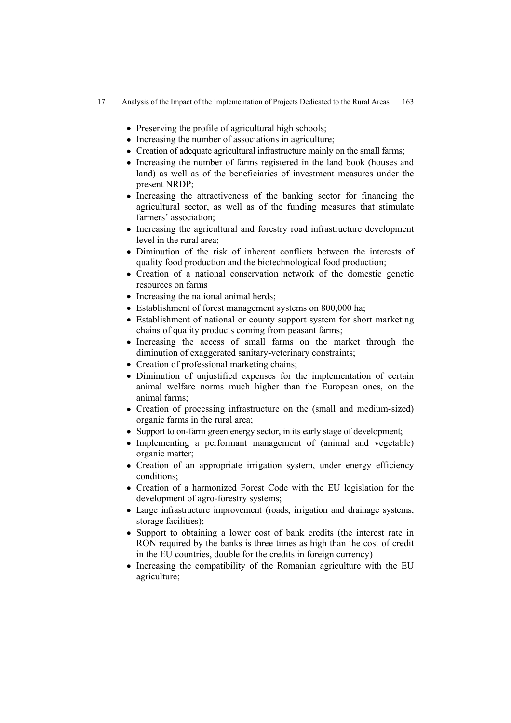- Preserving the profile of agricultural high schools;
- Increasing the number of associations in agriculture:
- Creation of adequate agricultural infrastructure mainly on the small farms:
- Increasing the number of farms registered in the land book (houses and land) as well as of the beneficiaries of investment measures under the present NRDP;
- Increasing the attractiveness of the banking sector for financing the agricultural sector, as well as of the funding measures that stimulate farmers' association;
- Increasing the agricultural and forestry road infrastructure development level in the rural area;
- Diminution of the risk of inherent conflicts between the interests of quality food production and the biotechnological food production;
- Creation of a national conservation network of the domestic genetic resources on farms
- Increasing the national animal herds;
- Establishment of forest management systems on 800,000 ha;
- Establishment of national or county support system for short marketing chains of quality products coming from peasant farms;
- Increasing the access of small farms on the market through the diminution of exaggerated sanitary-veterinary constraints;
- Creation of professional marketing chains;
- Diminution of unjustified expenses for the implementation of certain animal welfare norms much higher than the European ones, on the animal farms;
- Creation of processing infrastructure on the (small and medium-sized) organic farms in the rural area;
- Support to on-farm green energy sector, in its early stage of development;
- Implementing a performant management of (animal and vegetable) organic matter;
- Creation of an appropriate irrigation system, under energy efficiency conditions;
- Creation of a harmonized Forest Code with the EU legislation for the development of agro-forestry systems;
- Large infrastructure improvement (roads, irrigation and drainage systems, storage facilities);
- Support to obtaining a lower cost of bank credits (the interest rate in RON required by the banks is three times as high than the cost of credit in the EU countries, double for the credits in foreign currency)
- Increasing the compatibility of the Romanian agriculture with the EU agriculture;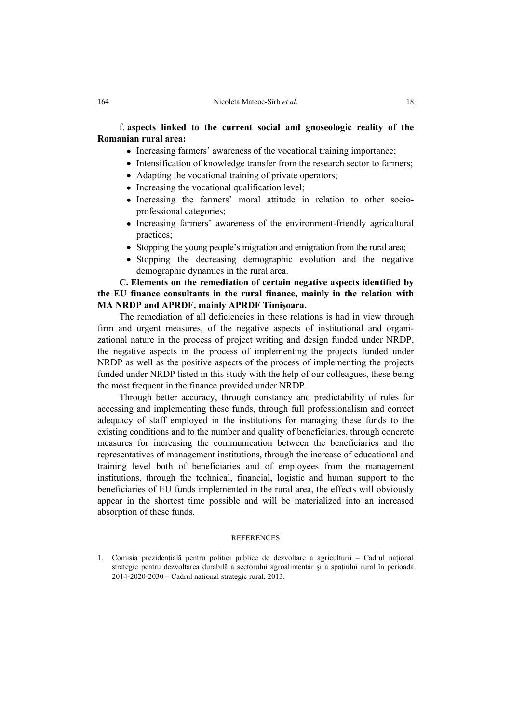# f. **aspects linked to the current social and gnoseologic reality of the Romanian rural area:**

- Increasing farmers' awareness of the vocational training importance;
- Intensification of knowledge transfer from the research sector to farmers;
- Adapting the vocational training of private operators;
- Increasing the vocational qualification level;
- Increasing the farmers' moral attitude in relation to other socioprofessional categories;
- Increasing farmers' awareness of the environment-friendly agricultural practices;
- Stopping the young people's migration and emigration from the rural area;
- Stopping the decreasing demographic evolution and the negative demographic dynamics in the rural area.

**C. Elements on the remediation of certain negative aspects identified by the EU finance consultants in the rural finance, mainly in the relation with MA NRDP and APRDF, mainly APRDF Timişoara.** 

The remediation of all deficiencies in these relations is had in view through firm and urgent measures, of the negative aspects of institutional and organizational nature in the process of project writing and design funded under NRDP, the negative aspects in the process of implementing the projects funded under NRDP as well as the positive aspects of the process of implementing the projects funded under NRDP listed in this study with the help of our colleagues, these being the most frequent in the finance provided under NRDP.

Through better accuracy, through constancy and predictability of rules for accessing and implementing these funds, through full professionalism and correct adequacy of staff employed in the institutions for managing these funds to the existing conditions and to the number and quality of beneficiaries, through concrete measures for increasing the communication between the beneficiaries and the representatives of management institutions, through the increase of educational and training level both of beneficiaries and of employees from the management institutions, through the technical, financial, logistic and human support to the beneficiaries of EU funds implemented in the rural area, the effects will obviously appear in the shortest time possible and will be materialized into an increased absorption of these funds.

#### **REFERENCES**

<sup>1.</sup> Comisia prezidenţială pentru politici publice de dezvoltare a agriculturii – Cadrul naţional strategic pentru dezvoltarea durabilă a sectorului agroalimentar şi a spaţiului rural în perioada 2014-2020-2030 – Cadrul national strategic rural, 2013.